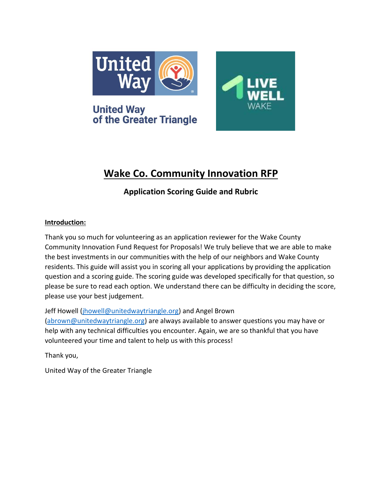

of the Greater Triangle

**United Way** 



# **Wake Co. Community Innovation RFP**

# **Application Scoring Guide and Rubric**

#### **Introduction:**

Thank you so much for volunteering as an application reviewer for the Wake County Community Innovation Fund Request for Proposals! We truly believe that we are able to make the best investments in our communities with the help of our neighbors and Wake County residents. This guide will assist you in scoring all your applications by providing the application question and a scoring guide. The scoring guide was developed specifically for that question, so please be sure to read each option. We understand there can be difficulty in deciding the score, please use your best judgement.

Jeff Howell [\(jhowell@unitedwaytriangle.org\)](mailto:jhowell@unitedwaytriangle.org) and Angel Brown [\(abrown@unitedwaytriangle.org\)](mailto:abrown@unitedwaytriangle.org) are always available to answer questions you may have or help with any technical difficulties you encounter. Again, we are so thankful that you have volunteered your time and talent to help us with this process!

Thank you,

United Way of the Greater Triangle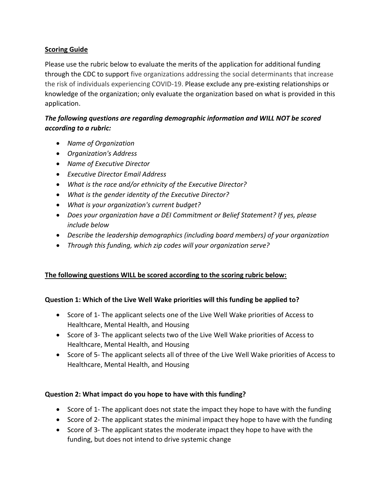#### **Scoring Guide**

Please use the rubric below to evaluate the merits of the application for additional funding through the CDC to support five organizations addressing the social determinants that increase the risk of individuals experiencing COVID-19. Please exclude any pre-existing relationships or knowledge of the organization; only evaluate the organization based on what is provided in this application.

## *The following questions are regarding demographic information and WILL NOT be scored according to a rubric:*

- *Name of Organization*
- *Organization's Address*
- *Name of Executive Director*
- *Executive Director Email Address*
- *What is the race and/or ethnicity of the Executive Director?*
- *What is the gender identity of the Executive Director?*
- *What is your organization's current budget?*
- *Does your organization have a DEI Commitment or Belief Statement? If yes, please include below*
- *Describe the leadership demographics (including board members) of your organization*
- *Through this funding, which zip codes will your organization serve?*

## **The following questions WILL be scored according to the scoring rubric below:**

#### **Question 1: Which of the Live Well Wake priorities will this funding be applied to?**

- Score of 1- The applicant selects one of the Live Well Wake priorities of Access to Healthcare, Mental Health, and Housing
- Score of 3- The applicant selects two of the Live Well Wake priorities of Access to Healthcare, Mental Health, and Housing
- Score of 5- The applicant selects all of three of the Live Well Wake priorities of Access to Healthcare, Mental Health, and Housing

## **Question 2: What impact do you hope to have with this funding?**

- Score of 1- The applicant does not state the impact they hope to have with the funding
- Score of 2- The applicant states the minimal impact they hope to have with the funding
- Score of 3- The applicant states the moderate impact they hope to have with the funding, but does not intend to drive systemic change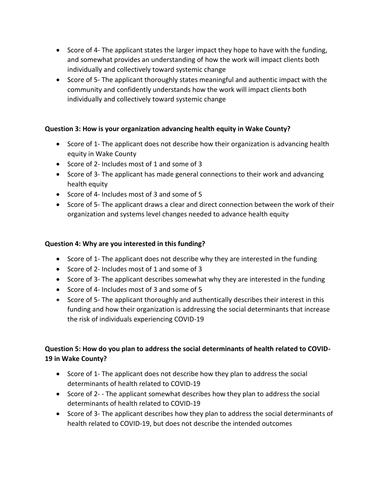- Score of 4- The applicant states the larger impact they hope to have with the funding, and somewhat provides an understanding of how the work will impact clients both individually and collectively toward systemic change
- Score of 5- The applicant thoroughly states meaningful and authentic impact with the community and confidently understands how the work will impact clients both individually and collectively toward systemic change

#### **Question 3: How is your organization advancing health equity in Wake County?**

- Score of 1- The applicant does not describe how their organization is advancing health equity in Wake County
- Score of 2- Includes most of 1 and some of 3
- Score of 3- The applicant has made general connections to their work and advancing health equity
- Score of 4- Includes most of 3 and some of 5
- Score of 5- The applicant draws a clear and direct connection between the work of their organization and systems level changes needed to advance health equity

#### **Question 4: Why are you interested in this funding?**

- Score of 1- The applicant does not describe why they are interested in the funding
- Score of 2- Includes most of 1 and some of 3
- Score of 3- The applicant describes somewhat why they are interested in the funding
- Score of 4- Includes most of 3 and some of 5
- Score of 5- The applicant thoroughly and authentically describes their interest in this funding and how their organization is addressing the social determinants that increase the risk of individuals experiencing COVID-19

# **Question 5: How do you plan to address the social determinants of health related to COVID-19 in Wake County?**

- Score of 1- The applicant does not describe how they plan to address the social determinants of health related to COVID-19
- Score of 2- The applicant somewhat describes how they plan to address the social determinants of health related to COVID-19
- Score of 3- The applicant describes how they plan to address the social determinants of health related to COVID-19, but does not describe the intended outcomes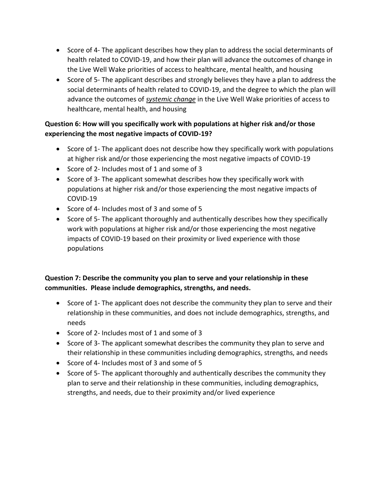- Score of 4- The applicant describes how they plan to address the social determinants of health related to COVID-19, and how their plan will advance the outcomes of change in the Live Well Wake priorities of access to healthcare, mental health, and housing
- Score of 5- The applicant describes and strongly believes they have a plan to address the social determinants of health related to COVID-19, and the degree to which the plan will advance the outcomes of *systemic change* in the Live Well Wake priorities of access to healthcare, mental health, and housing

# **Question 6: How will you specifically work with populations at higher risk and/or those experiencing the most negative impacts of COVID-19?**

- Score of 1- The applicant does not describe how they specifically work with populations at higher risk and/or those experiencing the most negative impacts of COVID-19
- Score of 2- Includes most of 1 and some of 3
- Score of 3- The applicant somewhat describes how they specifically work with populations at higher risk and/or those experiencing the most negative impacts of COVID-19
- Score of 4- Includes most of 3 and some of 5
- Score of 5- The applicant thoroughly and authentically describes how they specifically work with populations at higher risk and/or those experiencing the most negative impacts of COVID-19 based on their proximity or lived experience with those populations

# **Question 7: Describe the community you plan to serve and your relationship in these communities. Please include demographics, strengths, and needs.**

- Score of 1- The applicant does not describe the community they plan to serve and their relationship in these communities, and does not include demographics, strengths, and needs
- Score of 2- Includes most of 1 and some of 3
- Score of 3- The applicant somewhat describes the community they plan to serve and their relationship in these communities including demographics, strengths, and needs
- Score of 4- Includes most of 3 and some of 5
- Score of 5- The applicant thoroughly and authentically describes the community they plan to serve and their relationship in these communities, including demographics, strengths, and needs, due to their proximity and/or lived experience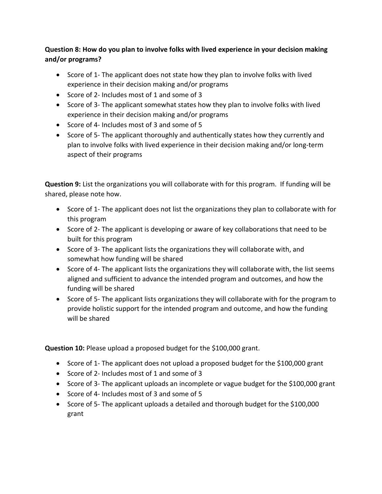# **Question 8: How do you plan to involve folks with lived experience in your decision making and/or programs?**

- Score of 1- The applicant does not state how they plan to involve folks with lived experience in their decision making and/or programs
- Score of 2- Includes most of 1 and some of 3
- Score of 3- The applicant somewhat states how they plan to involve folks with lived experience in their decision making and/or programs
- Score of 4- Includes most of 3 and some of 5
- Score of 5- The applicant thoroughly and authentically states how they currently and plan to involve folks with lived experience in their decision making and/or long-term aspect of their programs

**Question 9:** List the organizations you will collaborate with for this program. If funding will be shared, please note how.

- Score of 1- The applicant does not list the organizations they plan to collaborate with for this program
- Score of 2- The applicant is developing or aware of key collaborations that need to be built for this program
- Score of 3- The applicant lists the organizations they will collaborate with, and somewhat how funding will be shared
- Score of 4- The applicant lists the organizations they will collaborate with, the list seems aligned and sufficient to advance the intended program and outcomes, and how the funding will be shared
- Score of 5- The applicant lists organizations they will collaborate with for the program to provide holistic support for the intended program and outcome, and how the funding will be shared

**Question 10:** Please upload a proposed budget for the \$100,000 grant.

- Score of 1- The applicant does not upload a proposed budget for the \$100,000 grant
- Score of 2- Includes most of 1 and some of 3
- Score of 3- The applicant uploads an incomplete or vague budget for the \$100,000 grant
- Score of 4- Includes most of 3 and some of 5
- Score of 5- The applicant uploads a detailed and thorough budget for the \$100,000 grant